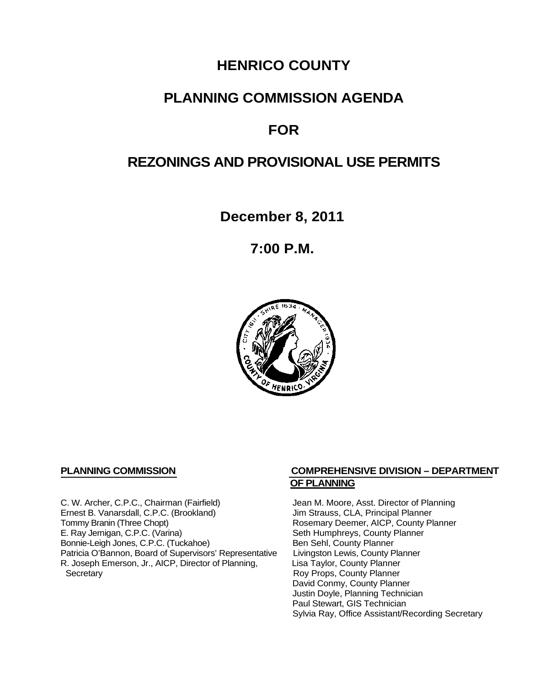# **HENRICO COUNTY**

# **PLANNING COMMISSION AGENDA**

# **FOR**

## **REZONINGS AND PROVISIONAL USE PERMITS**

**December 8, 2011**

**7:00 P.M.**



C. W. Archer, C.P.C., Chairman (Fairfield) Jean M. Moore, Asst. Director of Planning<br>
Ernest B. Vanarsdall, C.P.C. (Brookland) Jim Strauss, CLA, Principal Planner Ernest B. Vanarsdall, C.P.C. (Brookland)<br>Tommy Branin (Three Chopt) Tommy Branin (Three Chopt)<br>
E. Ray Jernigan, C.P.C. (Varina) Seth Humphreys, County Planner E. Ray Jernigan, C.P.C. (Varina) Bonnie-Leigh Jones, C.P.C. (Tuckahoe) Ben Sehl, County Planner<br>Patricia O'Bannon, Board of Supervisors' Representative Livingston Lewis, County Planner Patricia O'Bannon, Board of Supervisors' Representative Livingston Lewis, County Planner<br>R. Joseph Emerson, Jr., AICP, Director of Planning, Lisa Taylor, County Planner R. Joseph Emerson, Jr., AICP, Director of Planning, Secretary

#### **PLANNING COMMISSION COMPREHENSIVE DIVISION – DEPARTMENT OF PLANNING**

Seth Humphreys, County Planner<br>Ben Sehl, County Planner Roy Props, County Planner David Conmy, County Planner Justin Doyle, Planning Technician Paul Stewart, GIS Technician Sylvia Ray, Office Assistant/Recording Secretary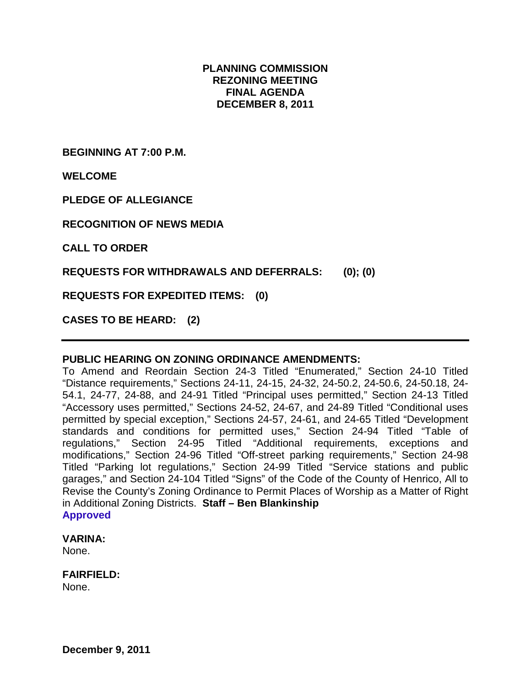#### **PLANNING COMMISSION REZONING MEETING FINAL AGENDA DECEMBER 8, 2011**

**BEGINNING AT 7:00 P.M.**

**WELCOME**

**PLEDGE OF ALLEGIANCE**

**RECOGNITION OF NEWS MEDIA**

**CALL TO ORDER**

**REQUESTS FOR WITHDRAWALS AND DEFERRALS: (0); (0)**

**REQUESTS FOR EXPEDITED ITEMS: (0)**

**CASES TO BE HEARD: (2)**

#### **PUBLIC HEARING ON ZONING ORDINANCE AMENDMENTS:**

To Amend and Reordain Section 24-3 Titled "Enumerated," Section 24-10 Titled "Distance requirements," Sections 24-11, 24-15, 24-32, 24-50.2, 24-50.6, 24-50.18, 24- 54.1, 24-77, 24-88, and 24-91 Titled "Principal uses permitted," Section 24-13 Titled "Accessory uses permitted," Sections 24-52, 24-67, and 24-89 Titled "Conditional uses permitted by special exception," Sections 24-57, 24-61, and 24-65 Titled "Development standards and conditions for permitted uses," Section 24-94 Titled "Table of regulations," Section 24-95 Titled "Additional requirements, exceptions and modifications," Section 24-96 Titled "Off-street parking requirements," Section 24-98 Titled "Parking lot regulations," Section 24-99 Titled "Service stations and public garages," and Section 24-104 Titled "Signs" of the Code of the County of Henrico, All to Revise the County's Zoning Ordinance to Permit Places of Worship as a Matter of Right in Additional Zoning Districts. **Staff – Ben Blankinship Approved**

#### **VARINA:**

None.

#### **FAIRFIELD:**

None.